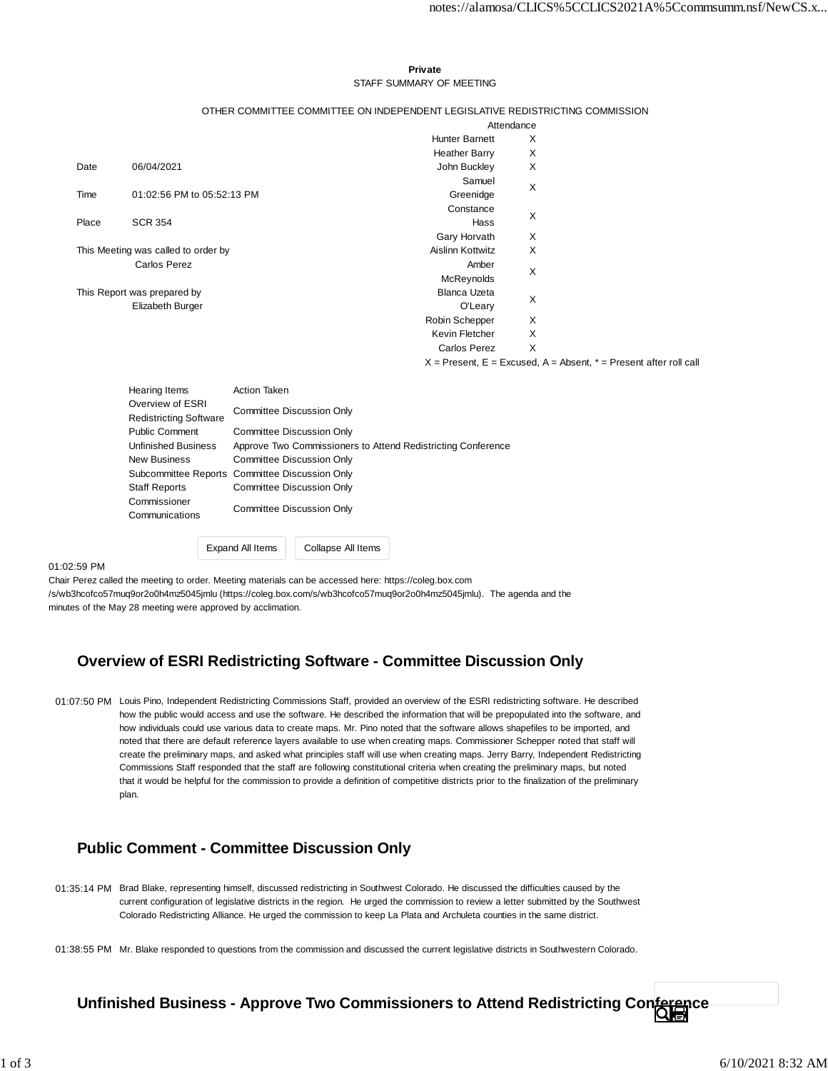### **Private** STAFF SUMMARY OF MEETING

### OTHER COMMITTEE COMMITTEE ON INDEPENDENT LEGISLATIVE REDISTRICTING COMMISSION

Attendance

|                                     |                                                                           |                                                              |                    | <b>Hunter Barnett</b>   | X |                                                                       |
|-------------------------------------|---------------------------------------------------------------------------|--------------------------------------------------------------|--------------------|-------------------------|---|-----------------------------------------------------------------------|
|                                     |                                                                           |                                                              |                    | <b>Heather Barry</b>    | X |                                                                       |
| Date                                | 06/04/2021                                                                |                                                              |                    | John Buckley            | X |                                                                       |
|                                     |                                                                           |                                                              |                    | Samuel                  | X |                                                                       |
| Time                                | 01:02:56 PM to 05:52:13 PM                                                |                                                              |                    | Greenidge               |   |                                                                       |
|                                     |                                                                           |                                                              |                    | Constance               | X |                                                                       |
| Place                               | <b>SCR 354</b>                                                            |                                                              |                    | <b>Hass</b>             |   |                                                                       |
|                                     |                                                                           |                                                              |                    | Gary Horvath            | X |                                                                       |
| This Meeting was called to order by |                                                                           |                                                              |                    | <b>Aislinn Kottwitz</b> | X |                                                                       |
|                                     | <b>Carlos Perez</b>                                                       |                                                              |                    | Amber                   | X |                                                                       |
|                                     |                                                                           |                                                              |                    | McReynolds              |   |                                                                       |
|                                     | This Report was prepared by                                               |                                                              |                    | <b>Blanca Uzeta</b>     | X |                                                                       |
|                                     | Elizabeth Burger                                                          |                                                              |                    | O'Leary                 |   |                                                                       |
|                                     |                                                                           |                                                              |                    | Robin Schepper          | X |                                                                       |
|                                     |                                                                           |                                                              |                    | Kevin Fletcher          | X |                                                                       |
|                                     |                                                                           |                                                              |                    | Carlos Perez            | X |                                                                       |
|                                     |                                                                           |                                                              |                    |                         |   | $X =$ Present, E = Excused, A = Absent, $* =$ Present after roll call |
|                                     |                                                                           | <b>Action Taken</b>                                          |                    |                         |   |                                                                       |
|                                     | <b>Hearing Items</b><br>Overview of ESRI<br><b>Redistricting Software</b> |                                                              |                    |                         |   |                                                                       |
|                                     |                                                                           | <b>Committee Discussion Only</b>                             |                    |                         |   |                                                                       |
|                                     | <b>Public Comment</b>                                                     | <b>Committee Discussion Only</b>                             |                    |                         |   |                                                                       |
|                                     | <b>Unfinished Business</b>                                                | Approve Two Commissioners to Attend Redistricting Conference |                    |                         |   |                                                                       |
|                                     | New Business                                                              | <b>Committee Discussion Only</b>                             |                    |                         |   |                                                                       |
|                                     | Subcommittee Reports Committee Discussion Only                            |                                                              |                    |                         |   |                                                                       |
|                                     | <b>Staff Reports</b>                                                      | Committee Discussion Only                                    |                    |                         |   |                                                                       |
|                                     | Commissioner                                                              | <b>Committee Discussion Only</b>                             |                    |                         |   |                                                                       |
|                                     | Communications                                                            |                                                              |                    |                         |   |                                                                       |
|                                     |                                                                           |                                                              |                    |                         |   |                                                                       |
|                                     |                                                                           | Expand All Items                                             | Collapse All Items |                         |   |                                                                       |

#### 01:02:59 PM

Chair Perez called the meeting to order. Meeting materials can be accessed here: https://coleg.box.com /s/wb3hcofco57muq9or2o0h4mz5045jmlu (https://coleg.box.com/s/wb3hcofco57muq9or2o0h4mz5045jmlu). The agenda and the minutes of the May 28 meeting were approved by acclimation.

## **Overview of ESRI Redistricting Software - Committee Discussion Only**

01:07:50 PM Louis Pino, Independent Redistricting Commissions Staff, provided an overview of the ESRI redistricting software. He described how the public would access and use the software. He described the information that will be prepopulated into the software, and how individuals could use various data to create maps. Mr. Pino noted that the software allows shapefiles to be imported, and noted that there are default reference layers available to use when creating maps. Commissioner Schepper noted that staff will create the preliminary maps, and asked what principles staff will use when creating maps. Jerry Barry, Independent Redistricting Commissions Staff responded that the staff are following constitutional criteria when creating the preliminary maps, but noted that it would be helpful for the commission to provide a definition of competitive districts prior to the finalization of the preliminary plan.

## **Public Comment - Committee Discussion Only**

- 01:35:14 PM Brad Blake, representing himself, discussed redistricting in Southwest Colorado. He discussed the difficulties caused by the current configuration of legislative districts in the region. He urged the commission to review a letter submitted by the Southwest Colorado Redistricting Alliance. He urged the commission to keep La Plata and Archuleta counties in the same district.
- 01:38:55 PM Mr. Blake responded to questions from the commission and discussed the current legislative districts in Southwestern Colorado.

# **Unfinished Business - Approve Two Commissioners to Attend Redistricting Conference**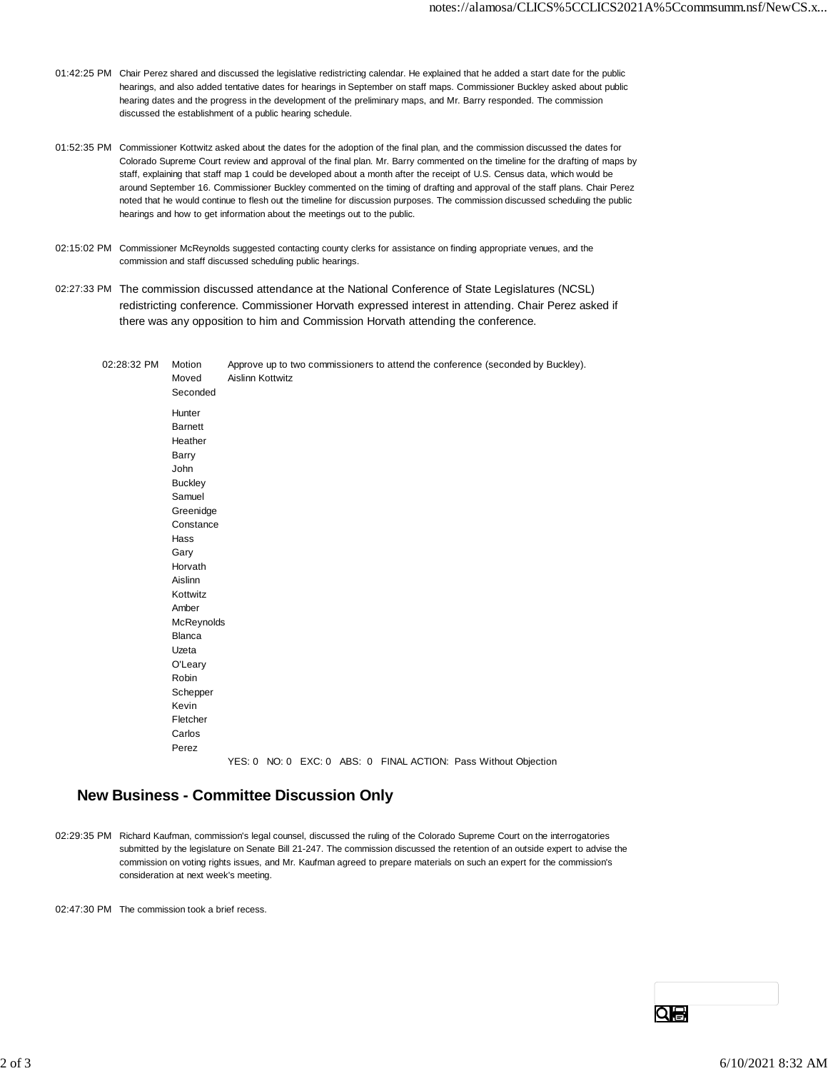- 01:42:25 PM Chair Perez shared and discussed the legislative redistricting calendar. He explained that he added a start date for the public hearings, and also added tentative dates for hearings in September on staff maps. Commissioner Buckley asked about public hearing dates and the progress in the development of the preliminary maps, and Mr. Barry responded. The commission discussed the establishment of a public hearing schedule.
- 01:52:35 PM Commissioner Kottwitz asked about the dates for the adoption of the final plan, and the commission discussed the dates for Colorado Supreme Court review and approval of the final plan. Mr. Barry commented on the timeline for the drafting of maps by staff, explaining that staff map 1 could be developed about a month after the receipt of U.S. Census data, which would be around September 16. Commissioner Buckley commented on the timing of drafting and approval of the staff plans. Chair Perez noted that he would continue to flesh out the timeline for discussion purposes. The commission discussed scheduling the public hearings and how to get information about the meetings out to the public.
- 02:15:02 PM Commissioner McReynolds suggested contacting county clerks for assistance on finding appropriate venues, and the commission and staff discussed scheduling public hearings.
- 02:27:33 PM The commission discussed attendance at the National Conference of State Legislatures (NCSL) redistricting conference. Commissioner Horvath expressed interest in attending. Chair Perez asked if there was any opposition to him and Commission Horvath attending the conference.

02:28:32 PM Motion Approve up to two commissioners to attend the conference (seconded by Buckley). Moved Aislinn Kottwitz Seconded Hunter **Barnett** Heather Barry John **Buckley** Samuel Greenidge **Constance** Hass Gary Horvath Aislinn Kottwitz Amber **McReynolds** Blanca Uzeta O'Leary Robin Schepper Kevin Fletcher Carlos Perez YES: 0 NO: 0 EXC: 0 ABS: 0 FINAL ACTION: Pass Without Objection

## **New Business - Committee Discussion Only**

02:29:35 PM Richard Kaufman, commission's legal counsel, discussed the ruling of the Colorado Supreme Court on the interrogatories submitted by the legislature on Senate Bill 21-247. The commission discussed the retention of an outside expert to advise the commission on voting rights issues, and Mr. Kaufman agreed to prepare materials on such an expert for the commission's consideration at next week's meeting.

02:47:30 PM The commission took a brief recess.

QIÐ